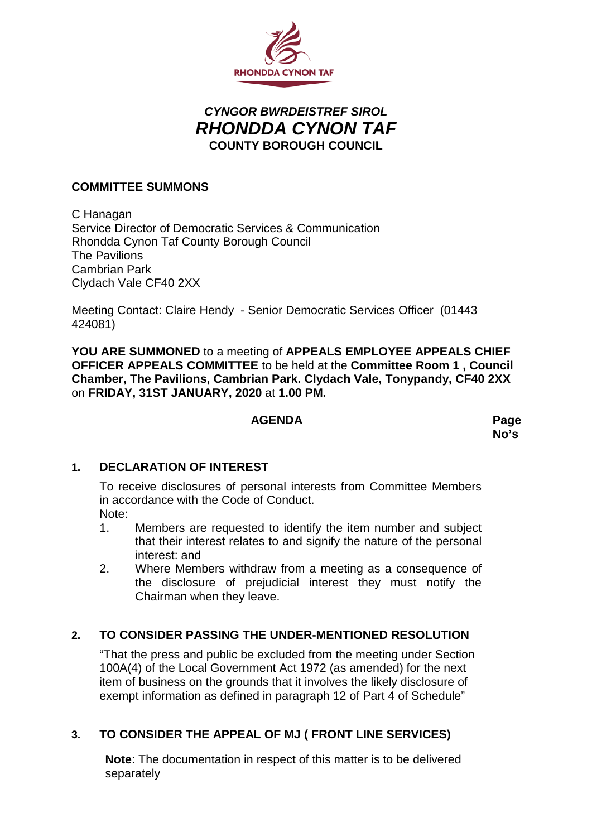

# *CYNGOR BWRDEISTREF SIROL RHONDDA CYNON TAF* **COUNTY BOROUGH COUNCIL**

#### **COMMITTEE SUMMONS**

C Hanagan Service Director of Democratic Services & Communication Rhondda Cynon Taf County Borough Council The Pavilions Cambrian Park Clydach Vale CF40 2XX

Meeting Contact: Claire Hendy - Senior Democratic Services Officer (01443 424081)

**YOU ARE SUMMONED** to a meeting of **APPEALS EMPLOYEE APPEALS CHIEF OFFICER APPEALS COMMITTEE** to be held at the **Committee Room 1 , Council Chamber, The Pavilions, Cambrian Park. Clydach Vale, Tonypandy, CF40 2XX** on **FRIDAY, 31ST JANUARY, 2020** at **1.00 PM.**

#### **AGENDA Page**

**No's**

#### **1. DECLARATION OF INTEREST**

To receive disclosures of personal interests from Committee Members in accordance with the Code of Conduct. Note:

- 1. Members are requested to identify the item number and subject that their interest relates to and signify the nature of the personal interest: and
- 2. Where Members withdraw from a meeting as a consequence of the disclosure of prejudicial interest they must notify the Chairman when they leave.

## **2. TO CONSIDER PASSING THE UNDER-MENTIONED RESOLUTION**

"That the press and public be excluded from the meeting under Section 100A(4) of the Local Government Act 1972 (as amended) for the next item of business on the grounds that it involves the likely disclosure of exempt information as defined in paragraph 12 of Part 4 of Schedule"

## **3. TO CONSIDER THE APPEAL OF MJ ( FRONT LINE SERVICES)**

**Note**: The documentation in respect of this matter is to be delivered separately